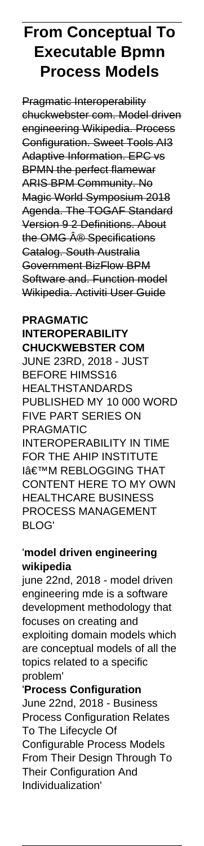# **From Conceptual To Executable Bpmn Process Models**

Pragmatic Interoperability chuckwebster com. Model driven engineering Wikipedia. Process Configuration. Sweet Tools AI3 Adaptive Information. EPC vs BPMN the perfect flamewar ARIS BPM Community. No Magic World Symposium 2018 Agenda. The TOGAF Standard Version 9 2 Definitions. About the OMG Â<sup>®</sup> Specifications Catalog. South Australia Government BizFlow BPM Software and. Function model Wikipedia. Activiti User Guide

## **PRAGMATIC INTEROPERABILITY CHUCKWEBSTER COM**

JUNE 23RD, 2018 - JUST BEFORE HIMSS16 HEALTHSTANDARDS PUBLISHED MY 10 000 WORD FIVE PART SERIES ON PRAGMATIC INTEROPERABILITY IN TIME FOR THE AHIP INSTITUTE **I'M REBLOGGING THAT** CONTENT HERE TO MY OWN HEALTHCARE BUSINESS PROCESS MANAGEMENT BLOG'

### '**model driven engineering wikipedia**

june 22nd, 2018 - model driven engineering mde is a software development methodology that focuses on creating and exploiting domain models which are conceptual models of all the topics related to a specific problem'

'**Process Configuration** June 22nd, 2018 - Business Process Configuration Relates To The Lifecycle Of Configurable Process Models From Their Design Through To Their Configuration And Individualization'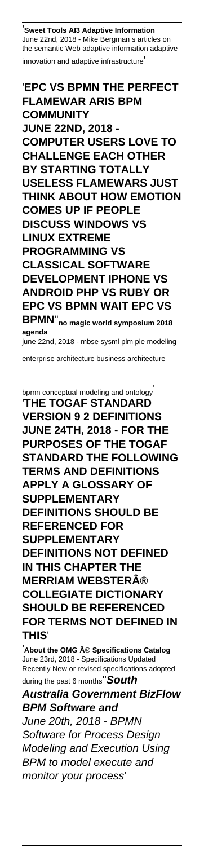'**Sweet Tools AI3 Adaptive Information** June 22nd, 2018 - Mike Bergman s articles on the semantic Web adaptive information adaptive innovation and adaptive infrastructure'

### '**EPC VS BPMN THE PERFECT FLAMEWAR ARIS BPM COMMUNITY JUNE 22ND, 2018 - COMPUTER USERS LOVE TO CHALLENGE EACH OTHER BY STARTING TOTALLY USELESS FLAMEWARS JUST THINK ABOUT HOW EMOTION COMES UP IF PEOPLE DISCUSS WINDOWS VS LINUX EXTREME PROGRAMMING VS CLASSICAL SOFTWARE DEVELOPMENT IPHONE VS**

**ANDROID PHP VS RUBY OR EPC VS BPMN WAIT EPC VS BPMN**''**no magic world symposium 2018 agenda** june 22nd, 2018 - mbse sysml plm ple modeling

enterprise architecture business architecture

bpmn conceptual modeling and ontology' '**THE TOGAF STANDARD VERSION 9 2 DEFINITIONS JUNE 24TH, 2018 - FOR THE PURPOSES OF THE TOGAF STANDARD THE FOLLOWING TERMS AND DEFINITIONS APPLY A GLOSSARY OF SUPPLEMENTARY DEFINITIONS SHOULD BE REFERENCED FOR SUPPLEMENTARY DEFINITIONS NOT DEFINED IN THIS CHAPTER THE MERRIAM WEBSTER® COLLEGIATE DICTIONARY SHOULD BE REFERENCED FOR TERMS NOT DEFINED IN THIS**'

'**About the OMG ® Specifications Catalog** June 23rd, 2018 - Specifications Updated Recently New or revised specifications adopted during the past 6 months''**South**

**Australia Government BizFlow BPM Software and** June 20th, 2018 - BPMN Software for Process Design Modeling and Execution Using BPM to model execute and monitor your process'